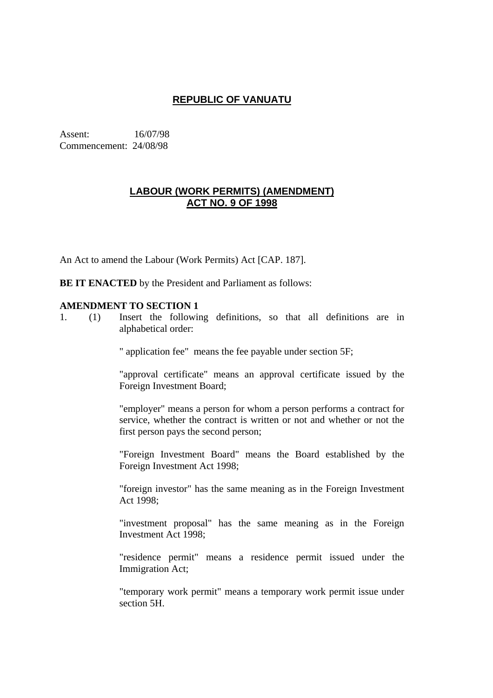# **REPUBLIC OF VANUATU**

Assent: 16/07/98 Commencement: 24/08/98

## **LABOUR (WORK PERMITS) (AMENDMENT) ACT NO. 9 OF 1998**

An Act to amend the Labour (Work Permits) Act [CAP. 187].

**BE IT ENACTED** by the President and Parliament as follows:

## **AMENDMENT TO SECTION 1**

1. (1) Insert the following definitions, so that all definitions are in alphabetical order:

" application fee" means the fee payable under section 5F;

"approval certificate" means an approval certificate issued by the Foreign Investment Board;

"employer" means a person for whom a person performs a contract for service, whether the contract is written or not and whether or not the first person pays the second person;

"Foreign Investment Board" means the Board established by the Foreign Investment Act 1998;

"foreign investor" has the same meaning as in the Foreign Investment Act 1998;

"investment proposal" has the same meaning as in the Foreign Investment Act 1998;

"residence permit" means a residence permit issued under the Immigration Act;

"temporary work permit" means a temporary work permit issue under section 5H.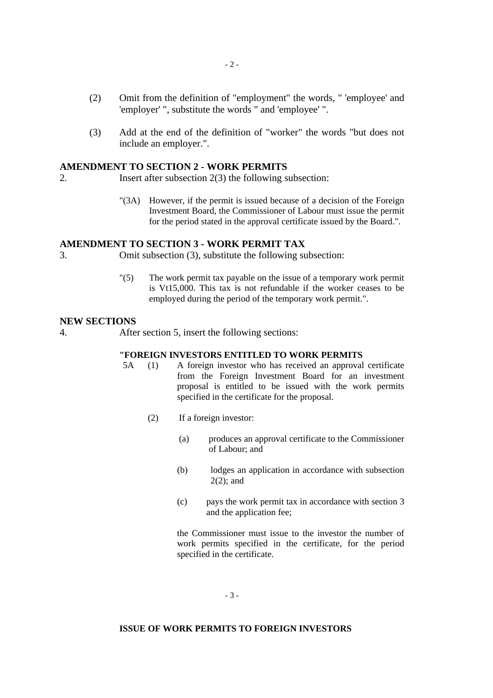- (2) Omit from the definition of "employment" the words, " 'employee' and 'employer' ", substitute the words " and 'employee' ".
- (3) Add at the end of the definition of "worker" the words "but does not include an employer.".

## **AMENDMENT TO SECTION 2 - WORK PERMITS**

- 2. Insert after subsection 2(3) the following subsection:
	- "(3A) However, if the permit is issued because of a decision of the Foreign Investment Board, the Commissioner of Labour must issue the permit for the period stated in the approval certificate issued by the Board.".

### **AMENDMENT TO SECTION 3 - WORK PERMIT TAX**

3. Omit subsection (3), substitute the following subsection:

"(5) The work permit tax payable on the issue of a temporary work permit is Vt15,000. This tax is not refundable if the worker ceases to be employed during the period of the temporary work permit.".

#### **NEW SECTIONS**

4. After section 5, insert the following sections:

#### **"FOREIGN INVESTORS ENTITLED TO WORK PERMITS**

- 5A (1) A foreign investor who has received an approval certificate from the Foreign Investment Board for an investment proposal is entitled to be issued with the work permits specified in the certificate for the proposal.
	- (2) If a foreign investor:
		- (a) produces an approval certificate to the Commissioner of Labour; and
		- (b) lodges an application in accordance with subsection  $2(2)$ ; and
		- (c) pays the work permit tax in accordance with section 3 and the application fee;

the Commissioner must issue to the investor the number of work permits specified in the certificate, for the period specified in the certificate.

- 3 -

#### **ISSUE OF WORK PERMITS TO FOREIGN INVESTORS**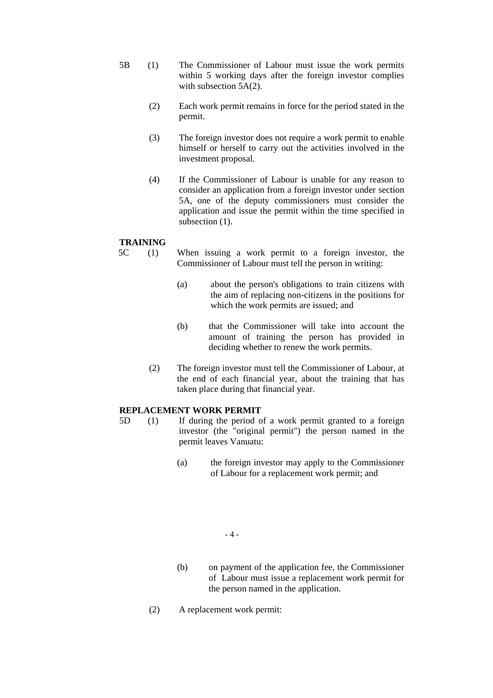- 5B (1) The Commissioner of Labour must issue the work permits within 5 working days after the foreign investor complies with subsection 5A(2).
	- (2) Each work permit remains in force for the period stated in the permit.
	- (3) The foreign investor does not require a work permit to enable himself or herself to carry out the activities involved in the investment proposal.
	- (4) If the Commissioner of Labour is unable for any reason to consider an application from a foreign investor under section 5A, one of the deputy commissioners must consider the application and issue the permit within the time specified in subsection  $(1)$ .

#### **TRAINING**

- 5C (1) When issuing a work permit to a foreign investor, the Commissioner of Labour must tell the person in writing:
	- (a) about the person's obligations to train citizens with the aim of replacing non-citizens in the positions for which the work permits are issued; and
	- (b) that the Commissioner will take into account the amount of training the person has provided in deciding whether to renew the work permits.
	- (2) The foreign investor must tell the Commissioner of Labour, at the end of each financial year, about the training that has taken place during that financial year.

### **REPLACEMENT WORK PERMIT**

- 5D (1) If during the period of a work permit granted to a foreign investor (the "original permit") the person named in the permit leaves Vanuatu:
	- (a) the foreign investor may apply to the Commissioner of Labour for a replacement work permit; and

- 4 -

- (b) on payment of the application fee, the Commissioner of Labour must issue a replacement work permit for the person named in the application.
- (2) A replacement work permit: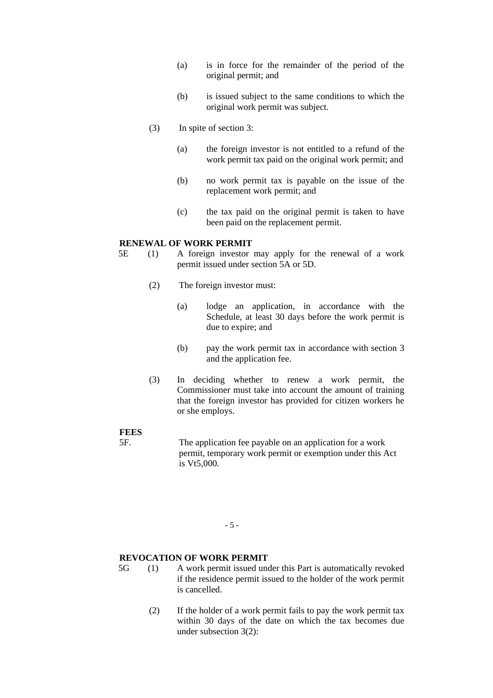- (a) is in force for the remainder of the period of the original permit; and
- (b) is issued subject to the same conditions to which the original work permit was subject.
- (3) In spite of section 3:
	- (a) the foreign investor is not entitled to a refund of the work permit tax paid on the original work permit; and
	- (b) no work permit tax is payable on the issue of the replacement work permit; and
	- (c) the tax paid on the original permit is taken to have been paid on the replacement permit.

#### **RENEWAL OF WORK PERMIT**

- 5E (1) A foreign investor may apply for the renewal of a work permit issued under section 5A or 5D.
	- (2) The foreign investor must:
		- (a) lodge an application, in accordance with the Schedule, at least 30 days before the work permit is due to expire; and
		- (b) pay the work permit tax in accordance with section 3 and the application fee.
	- (3) In deciding whether to renew a work permit, the Commissioner must take into account the amount of training that the foreign investor has provided for citizen workers he or she employs.

#### **FEES**

5F. The application fee payable on an application for a work permit, temporary work permit or exemption under this Act is Vt5,000.

- 5 -

#### **REVOCATION OF WORK PERMIT**

- 5G (1) A work permit issued under this Part is automatically revoked if the residence permit issued to the holder of the work permit is cancelled.
	- (2) If the holder of a work permit fails to pay the work permit tax within 30 days of the date on which the tax becomes due under subsection 3(2):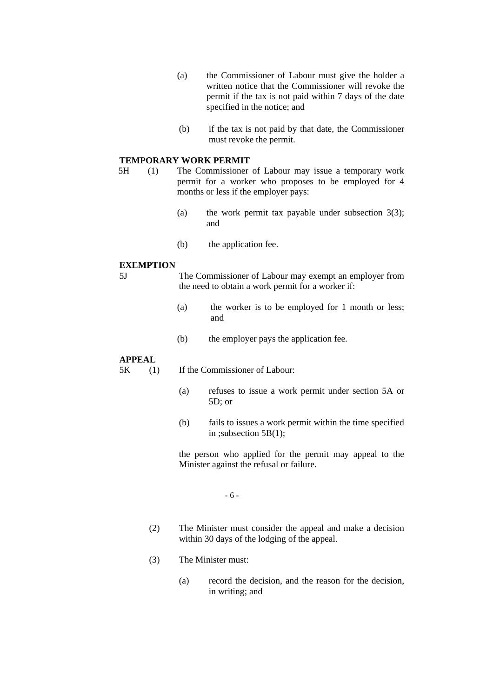- (a) the Commissioner of Labour must give the holder a written notice that the Commissioner will revoke the permit if the tax is not paid within 7 days of the date specified in the notice; and
- (b) if the tax is not paid by that date, the Commissioner must revoke the permit.

#### **TEMPORARY WORK PERMIT**

- 5H (1) The Commissioner of Labour may issue a temporary work permit for a worker who proposes to be employed for 4 months or less if the employer pays:
	- (a) the work permit tax payable under subsection  $3(3)$ ; and
	- (b) the application fee.

#### **EXEMPTION**

- 5J The Commissioner of Labour may exempt an employer from the need to obtain a work permit for a worker if:
	- (a) the worker is to be employed for 1 month or less; and
	- (b) the employer pays the application fee.

#### **APPEAL**

5K (1) If the Commissioner of Labour:

- (a) refuses to issue a work permit under section 5A or 5D; or
- (b) fails to issues a work permit within the time specified in ;subsection 5B(1);

the person who applied for the permit may appeal to the Minister against the refusal or failure.

- 6 -

- (2) The Minister must consider the appeal and make a decision within 30 days of the lodging of the appeal.
- (3) The Minister must:
	- (a) record the decision, and the reason for the decision, in writing; and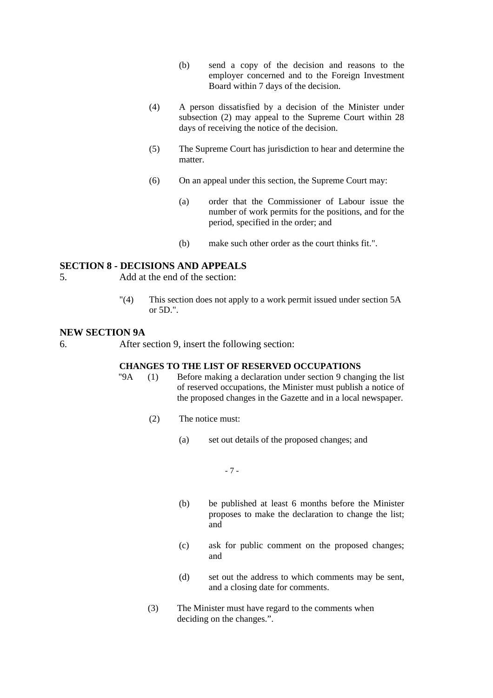- (b) send a copy of the decision and reasons to the employer concerned and to the Foreign Investment Board within 7 days of the decision.
- (4) A person dissatisfied by a decision of the Minister under subsection (2) may appeal to the Supreme Court within 28 days of receiving the notice of the decision.
- (5) The Supreme Court has jurisdiction to hear and determine the matter.
- (6) On an appeal under this section, the Supreme Court may:
	- (a) order that the Commissioner of Labour issue the number of work permits for the positions, and for the period, specified in the order; and
	- (b) make such other order as the court thinks fit.".

#### **SECTION 8 - DECISIONS AND APPEALS**

- 5.Add at the end of the section:
	- "(4) This section does not apply to a work permit issued under section 5A or 5D.".

#### **NEW SECTION 9A**

6.After section 9, insert the following section:

# **CHANGES TO THE LIST OF RESERVED OCCUPATIONS**<br>
"9A (1) Before making a declaration under section 9 chan

- $(1)$  Before making a declaration under section 9 changing the list of reserved occupations, the Minister must publish a notice of the proposed changes in the Gazette and in a local newspaper.
	- (2) The notice must:
		- (a) set out details of the proposed changes; and

- 7 -

- (b) be published at least 6 months before the Minister proposes to make the declaration to change the list; and
- (c) ask for public comment on the proposed changes; and
- (d) set out the address to which comments may be sent, and a closing date for comments.
- (3) The Minister must have regard to the comments when deciding on the changes.".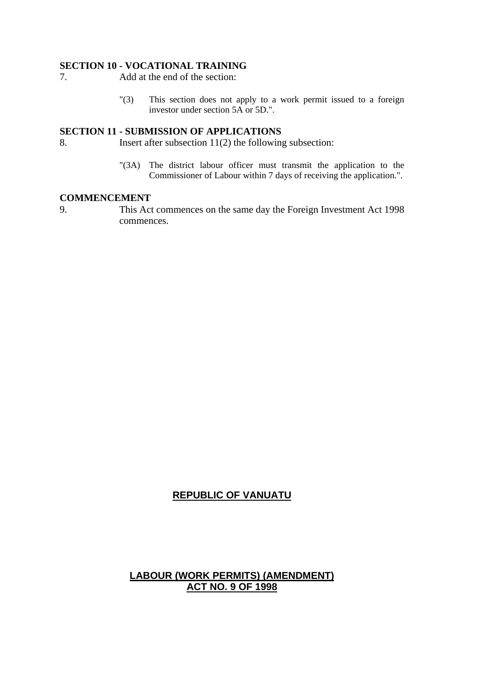#### **SECTION 10 - VOCATIONAL TRAINING**

- 7.Add at the end of the section:
	- "(3) This section does not apply to a work permit issued to a foreign investor under section 5A or 5D.".

## **SECTION 11 - SUBMISSION OF APPLICATIONS**

- 8.Insert after subsection 11(2) the following subsection:
	- "(3A) The district labour officer must transmit the application to the Commissioner of Labour within 7 days of receiving the application.".

### **COMMENCEMENT**

9.This Act commences on the same day the Foreign Investment Act 1998 commences.

# **REPUBLIC OF VANUATU**

# **LABOUR (WORK PERMITS) (AMENDMENT) ACT NO. 9 OF 1998**